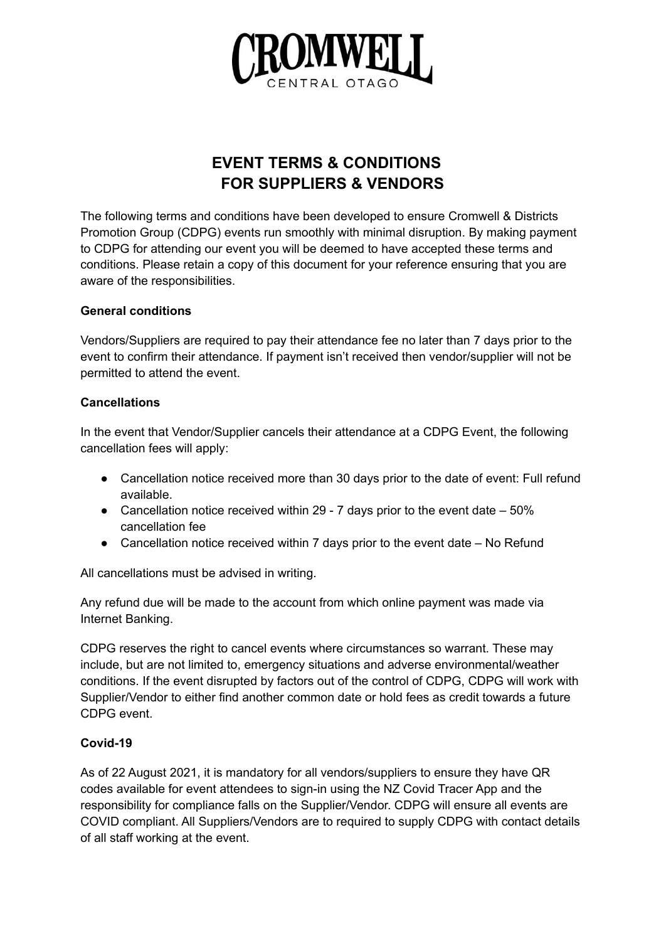

# **EVENT TERMS & CONDITIONS FOR SUPPLIERS & VENDORS**

The following terms and conditions have been developed to ensure Cromwell & Districts Promotion Group (CDPG) events run smoothly with minimal disruption. By making payment to CDPG for attending our event you will be deemed to have accepted these terms and conditions. Please retain a copy of this document for your reference ensuring that you are aware of the responsibilities.

## **General conditions**

Vendors/Suppliers are required to pay their attendance fee no later than 7 days prior to the event to confirm their attendance. If payment isn't received then vendor/supplier will not be permitted to attend the event.

## **Cancellations**

In the event that Vendor/Supplier cancels their attendance at a CDPG Event, the following cancellation fees will apply:

- Cancellation notice received more than 30 days prior to the date of event: Full refund available.
- Cancellation notice received within 29 7 days prior to the event date  $-50\%$ cancellation fee
- Cancellation notice received within 7 days prior to the event date No Refund

All cancellations must be advised in writing.

Any refund due will be made to the account from which online payment was made via Internet Banking.

CDPG reserves the right to cancel events where circumstances so warrant. These may include, but are not limited to, emergency situations and adverse environmental/weather conditions. If the event disrupted by factors out of the control of CDPG, CDPG will work with Supplier/Vendor to either find another common date or hold fees as credit towards a future CDPG event.

# **Covid-19**

As of 22 August 2021, it is mandatory for all vendors/suppliers to ensure they have QR codes available for event attendees to sign-in using the NZ Covid Tracer App and the responsibility for compliance falls on the Supplier/Vendor. CDPG will ensure all events are COVID compliant. All Suppliers/Vendors are to required to supply CDPG with contact details of all staff working at the event.